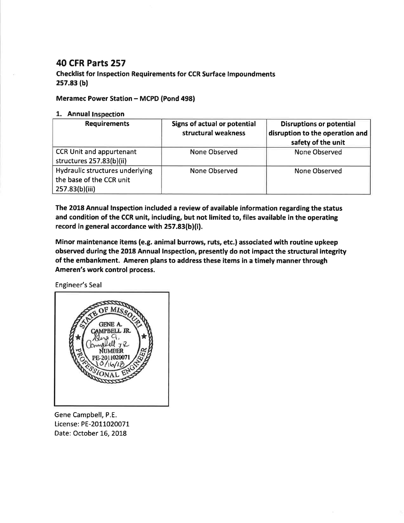## 40 CFR Parts 257

## Checklist for lnspection Requirements for CCR Surface lmpoundments  $257.83<sub>(b)</sub>$

## Meramec Power Station - MCPD (Pond 498)

## 1. Annual Inspection

| <b>Requirements</b>                                                           | <b>Signs of actual or potential</b><br>structural weakness | <b>Disruptions or potential</b><br>disruption to the operation and<br>safety of the unit |
|-------------------------------------------------------------------------------|------------------------------------------------------------|------------------------------------------------------------------------------------------|
| <b>CCR Unit and appurtenant</b><br>structures 257.83(b)(ii)                   | None Observed                                              | <b>None Observed</b>                                                                     |
| Hydraulic structures underlying<br>the base of the CCR unit<br>257.83(b)(iii) | None Observed                                              | <b>None Observed</b>                                                                     |

The 2018 Annual lnspection included a review of available information regarding the status and condition of the CCR unit, including, but not limited to, files available in the operating record in general accordance with 257.83(b)(i).

Minor maintenance items (e.g. animal burrows, ruts, etc.) associated with routine upkeep observed during the 2018 Annual lnspection, presently do not impact the structural integrity of the embankment. Ameren plans to address these items in a timely manner through Ameren's work control process.

Engineer's Seal



Gene Campbell, P.E. License: PE-2011020071 Date: October 16, 2018